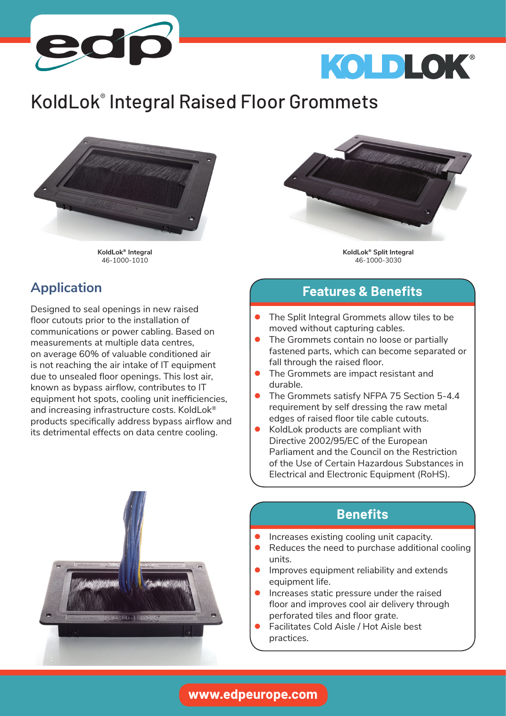

# KOLDLOK®

## KoldLok® Integral Raised Floor Grommets



**KoldLok® Integral** 46-1000-1010

**KoldLok® Split Integral** 46-1000-3030

#### **Application**

Designed to seal openings in new raised floor cutouts prior to the installation of communications or power cabling. Based on measurements at multiple data centres, on average 60% of valuable conditioned air is not reaching the air intake of IT equipment due to unsealed floor openings. This lost air, known as bypass airflow, contributes to IT equipment hot spots, cooling unit inefficiencies, and increasing infrastructure costs. KoldLok® products specifically address bypass airflow and its detrimental effects on data centre cooling.

#### **Features & Benefits**

- The Split Integral Grommets allow tiles to be moved without capturing cables.
- **●** The Grommets contain no loose or partially fastened parts, which can become separated or fall through the raised floor.
- **●** The Grommets are impact resistant and durable.
- **●** The Grommets satisfy NFPA 75 Section 5-4.4 requirement by self dressing the raw metal edges of raised floor tile cable cutouts.
- **●** KoldLok products are compliant with Directive 2002/95/EC of the European Parliament and the Council on the Restriction of the Use of Certain Hazardous Substances in Electrical and Electronic Equipment (RoHS).

#### **Benefits**

- **●** Increases existing cooling unit capacity.
- **●** Reduces the need to purchase additional cooling units.
- **●** Improves equipment reliability and extends equipment life.
- **●** Increases static pressure under the raised floor and improves cool air delivery through perforated tiles and floor grate.
- **●** Facilitates Cold Aisle / Hot Aisle best practices.



#### **www.edpeurope.com**